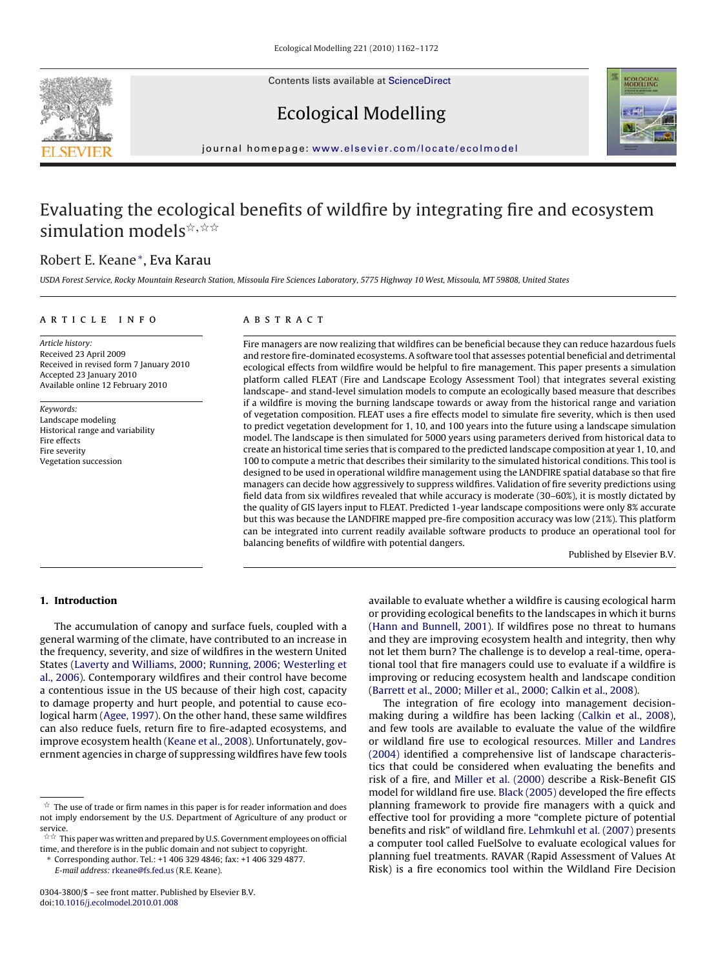Contents lists available at [ScienceDirect](http://www.sciencedirect.com/science/journal/03043800)





# Ecological Modelling

journal homepage: [www.elsevier.com/locate/ecolmodel](http://www.elsevier.com/locate/ecolmodel)

# Evaluating the ecological benefits of wildfire by integrating fire and ecosystem simulation models $^{\star, \star\star}$

# Robert E. Keane∗, Eva Karau

USDA Forest Service, Rocky Mountain Research Station, Missoula Fire Sciences Laboratory, 5775 Highway 10 West, Missoula, MT 59808, United States

## article info

Article history: Received 23 April 2009 Received in revised form 7 January 2010 Accepted 23 January 2010 Available online 12 February 2010

Keywords: Landscape modeling Historical range and variability Fire effects Fire severity Vegetation succession

# **ABSTRACT**

Fire managers are now realizing that wildfires can be beneficial because they can reduce hazardous fuels and restore fire-dominated ecosystems. A software tool that assesses potential beneficial and detrimental ecological effects from wildfire would be helpful to fire management. This paper presents a simulation platform called FLEAT (Fire and Landscape Ecology Assessment Tool) that integrates several existing landscape- and stand-level simulation models to compute an ecologically based measure that describes if a wildfire is moving the burning landscape towards or away from the historical range and variation of vegetation composition. FLEAT uses a fire effects model to simulate fire severity, which is then used to predict vegetation development for 1, 10, and 100 years into the future using a landscape simulation model. The landscape is then simulated for 5000 years using parameters derived from historical data to create an historical time series that is compared to the predicted landscape composition at year 1, 10, and 100 to compute a metric that describes their similarity to the simulated historical conditions. This tool is designed to be used in operational wildfire management using the LANDFIRE spatial database so that fire managers can decide how aggressively to suppress wildfires. Validation of fire severity predictions using field data from six wildfires revealed that while accuracy is moderate (30–60%), it is mostly dictated by the quality of GIS layers input to FLEAT. Predicted 1-year landscape compositions were only 8% accurate but this was because the LANDFIRE mapped pre-fire composition accuracy was low (21%). This platform can be integrated into current readily available software products to produce an operational tool for balancing benefits of wildfire with potential dangers.

Published by Elsevier B.V.

# **1. Introduction**

The accumulation of canopy and surface fuels, coupled with a general warming of the climate, have contributed to an increase in the frequency, severity, and size of wildfires in the western United States [\(Laverty and Williams, 2000; Running, 2006; Westerling et](#page-10-0) [al., 2006\).](#page-10-0) Contemporary wildfires and their control have become a contentious issue in the US because of their high cost, capacity to damage property and hurt people, and potential to cause ecological harm ([Agee, 1997\).](#page-10-0) On the other hand, these same wildfires can also reduce fuels, return fire to fire-adapted ecosystems, and improve ecosystem health [\(Keane et al., 2008\).](#page-10-0) Unfortunately, government agencies in charge of suppressing wildfires have few tools available to evaluate whether a wildfire is causing ecological harm or providing ecological benefits to the landscapes in which it burns [\(Hann and Bunnell, 2001\).](#page-10-0) If wildfires pose no threat to humans and they are improving ecosystem health and integrity, then why not let them burn? The challenge is to develop a real-time, operational tool that fire managers could use to evaluate if a wildfire is improving or reducing ecosystem health and landscape condition [\(Barrett et al., 2000; Miller et al., 2000; Calkin et al., 2008\).](#page-10-0)

The integration of fire ecology into management decisionmaking during a wildfire has been lacking [\(Calkin et al., 2008\),](#page-10-0) and few tools are available to evaluate the value of the wildfire or wildland fire use to ecological resources. [Miller and Landres](#page-10-0) [\(2004\)](#page-10-0) identified a comprehensive list of landscape characteristics that could be considered when evaluating the benefits and risk of a fire, and [Miller et al. \(2000\)](#page-10-0) describe a Risk-Benefit GIS model for wildland fire use. [Black \(2005\)](#page-10-0) developed the fire effects planning framework to provide fire managers with a quick and effective tool for providing a more "complete picture of potential benefits and risk" of wildland fire. [Lehmkuhl et al. \(2007\)](#page-10-0) presents a computer tool called FuelSolve to evaluate ecological values for planning fuel treatments. RAVAR (Rapid Assessment of Values At Risk) is a fire economics tool within the Wildland Fire Decision

 $\stackrel{\scriptscriptstyle{\times}}{\scriptscriptstyle{\times}}$  The use of trade or firm names in this paper is for reader information and does not imply endorsement by the U.S. Department of Agriculture of any product or service.

 $\stackrel{\scriptstyle\leftrightarrow}{\scriptstyle\sim}$  This paper was written and prepared by U.S. Government employees on official time, and therefore is in the public domain and not subject to copyright.

<sup>∗</sup> Corresponding author. Tel.: +1 406 329 4846; fax: +1 406 329 4877. E-mail address: [rkeane@fs.fed.us](mailto:rkeane@fs.fed.us) (R.E. Keane).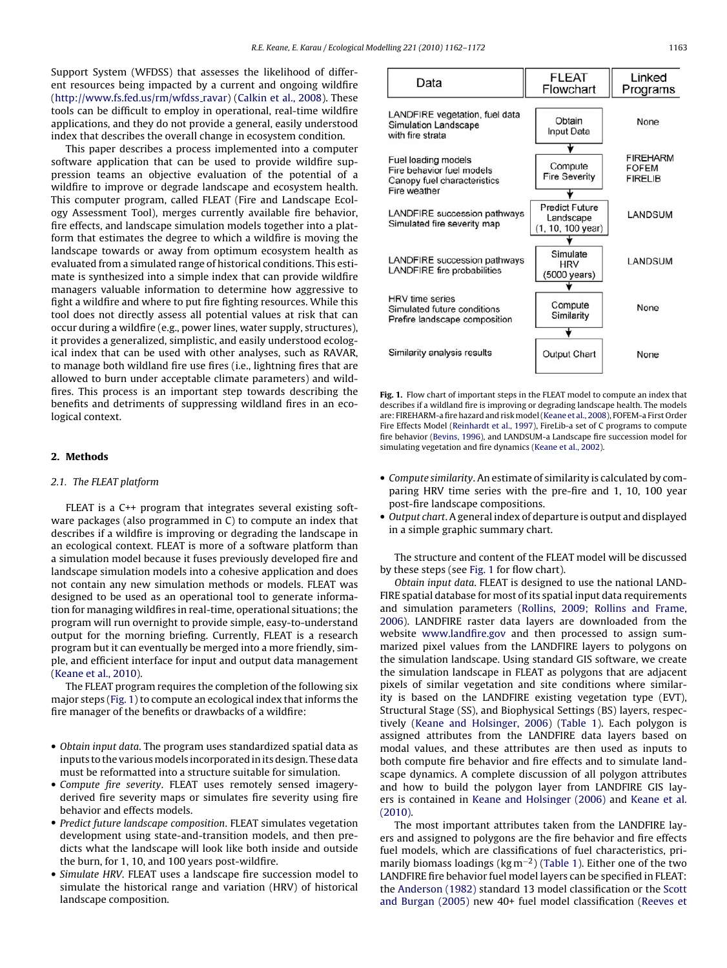<span id="page-1-0"></span>Support System (WFDSS) that assesses the likelihood of different resources being impacted by a current and ongoing wildfire ([http://www.fs.fed.us/rm/wfdss](http://www.fs.fed.us/rm/wfdss_ravar) ravar) ([Calkin et al., 2008\).](#page-10-0) These tools can be difficult to employ in operational, real-time wildfire applications, and they do not provide a general, easily understood index that describes the overall change in ecosystem condition.

This paper describes a process implemented into a computer software application that can be used to provide wildfire suppression teams an objective evaluation of the potential of a wildfire to improve or degrade landscape and ecosystem health. This computer program, called FLEAT (Fire and Landscape Ecology Assessment Tool), merges currently available fire behavior, fire effects, and landscape simulation models together into a platform that estimates the degree to which a wildfire is moving the landscape towards or away from optimum ecosystem health as evaluated from a simulated range of historical conditions. This estimate is synthesized into a simple index that can provide wildfire managers valuable information to determine how aggressive to fight a wildfire and where to put fire fighting resources. While this tool does not directly assess all potential values at risk that can occur during a wildfire (e.g., power lines, water supply, structures), it provides a generalized, simplistic, and easily understood ecological index that can be used with other analyses, such as RAVAR, to manage both wildland fire use fires (i.e., lightning fires that are allowed to burn under acceptable climate parameters) and wildfires. This process is an important step towards describing the benefits and detriments of suppressing wildland fires in an ecological context.

### **2. Methods**

#### 2.1. The FLEAT platform

FLEAT is a C++ program that integrates several existing software packages (also programmed in C) to compute an index that describes if a wildfire is improving or degrading the landscape in an ecological context. FLEAT is more of a software platform than a simulation model because it fuses previously developed fire and landscape simulation models into a cohesive application and does not contain any new simulation methods or models. FLEAT was designed to be used as an operational tool to generate information for managing wildfires in real-time, operational situations; the program will run overnight to provide simple, easy-to-understand output for the morning briefing. Currently, FLEAT is a research program but it can eventually be merged into a more friendly, simple, and efficient interface for input and output data management ([Keane et al., 2010\).](#page-10-0)

The FLEAT program requires the completion of the following six major steps (Fig. 1) to compute an ecological index that informs the fire manager of the benefits or drawbacks of a wildfire:

- Obtain input data. The program uses standardized spatial data as inputs to the various models incorporated in its design. These data must be reformatted into a structure suitable for simulation.
- Compute fire severity. FLEAT uses remotely sensed imageryderived fire severity maps or simulates fire severity using fire behavior and effects models.
- Predict future landscape composition. FLEAT simulates vegetation development using state-and-transition models, and then predicts what the landscape will look like both inside and outside the burn, for 1, 10, and 100 years post-wildfire.
- Simulate HRV. FLEAT uses a landscape fire succession model to simulate the historical range and variation (HRV) of historical landscape composition.



**Fig. 1.** Flow chart of important steps in the FLEAT model to compute an index that describes if a wildland fire is improving or degrading landscape health. The models are: FIREHARM-a fire hazard and risk model [\(Keane et al., 2008\),](#page-10-0) FOFEM-a First Order Fire Effects Model ([Reinhardt et al., 1997\),](#page-10-0) FireLib-a set of C programs to compute fire behavior ([Bevins, 1996\),](#page-10-0) and LANDSUM-a Landscape fire succession model for simulating vegetation and fire dynamics [\(Keane et al., 2002\).](#page-10-0)

- Compute similarity. An estimate of similarity is calculated by comparing HRV time series with the pre-fire and 1, 10, 100 year post-fire landscape compositions.
- Output chart. A general index of departure is output and displayed in a simple graphic summary chart.

The structure and content of the FLEAT model will be discussed by these steps (see Fig. 1 for flow chart).

Obtain input data. FLEAT is designed to use the national LAND-FIRE spatial database for most of its spatial input data requirements and simulation parameters ([Rollins, 2009; Rollins and Frame,](#page-10-0) [2006\).](#page-10-0) LANDFIRE raster data layers are downloaded from the website [www.landfire.gov](http://www.landfire.gov/) and then processed to assign summarized pixel values from the LANDFIRE layers to polygons on the simulation landscape. Using standard GIS software, we create the simulation landscape in FLEAT as polygons that are adjacent pixels of similar vegetation and site conditions where similarity is based on the LANDFIRE existing vegetation type (EVT), Structural Stage (SS), and Biophysical Settings (BS) layers, respectively [\(Keane and Holsinger, 2006\)](#page-10-0) ([Table 1\)](#page-2-0). Each polygon is assigned attributes from the LANDFIRE data layers based on modal values, and these attributes are then used as inputs to both compute fire behavior and fire effects and to simulate landscape dynamics. A complete discussion of all polygon attributes and how to build the polygon layer from LANDFIRE GIS layers is contained in [Keane and Holsinger \(2006\)](#page-10-0) and [Keane et al.](#page-10-0) [\(2010\).](#page-10-0)

The most important attributes taken from the LANDFIRE layers and assigned to polygons are the fire behavior and fire effects fuel models, which are classifications of fuel characteristics, primarily biomass loadings (kg m−2) ([Table 1\).](#page-2-0) Either one of the two LANDFIRE fire behavior fuel model layers can be specified in FLEAT: the [Anderson \(1982\)](#page-10-0) standard 13 model classification or the [Scott](#page-10-0) [and Burgan \(2005\)](#page-10-0) new 40+ fuel model classification ([Reeves et](#page-10-0)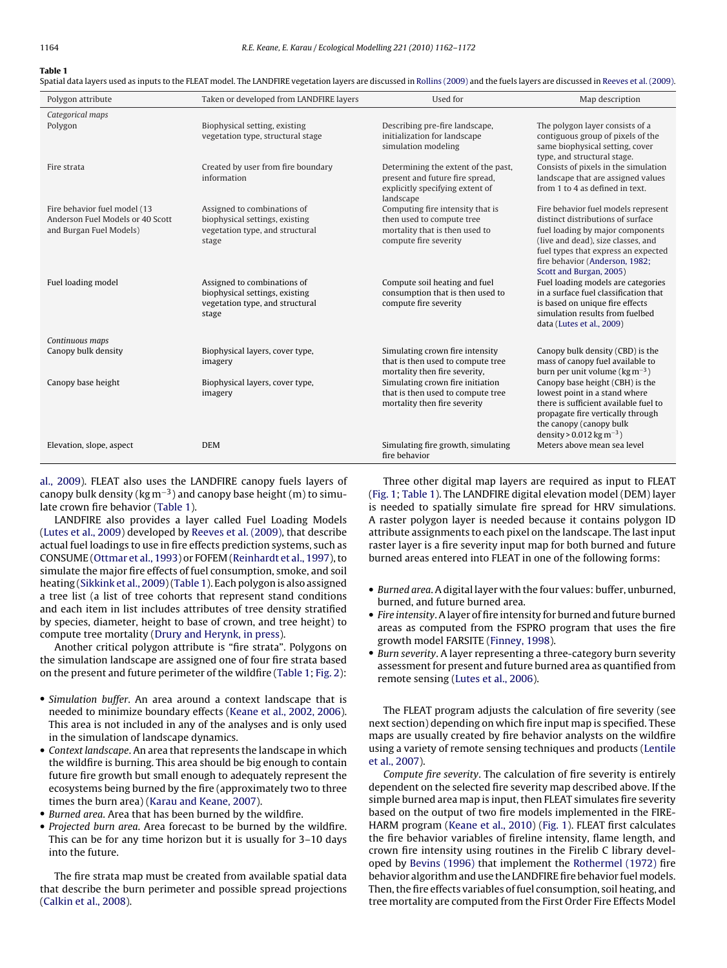#### <span id="page-2-0"></span>**Table 1**

Spatial data layers used as inputs to the FLEAT model. The LANDFIRE vegetation layers are discussed in [Rollins \(2009\)](#page-10-0) and the fuels layers are discussed in [Reeves et al. \(2009\).](#page-10-0)

| Polygon attribute                                                                           | Taken or developed from LANDFIRE layers                                                                   | Used for                                                                                                                 | Map description                                                                                                                                                                                                                                        |
|---------------------------------------------------------------------------------------------|-----------------------------------------------------------------------------------------------------------|--------------------------------------------------------------------------------------------------------------------------|--------------------------------------------------------------------------------------------------------------------------------------------------------------------------------------------------------------------------------------------------------|
| Categorical maps                                                                            |                                                                                                           |                                                                                                                          |                                                                                                                                                                                                                                                        |
| Polygon                                                                                     | Biophysical setting, existing<br>vegetation type, structural stage                                        | Describing pre-fire landscape,<br>initialization for landscape<br>simulation modeling                                    | The polygon layer consists of a<br>contiguous group of pixels of the<br>same biophysical setting, cover<br>type, and structural stage.                                                                                                                 |
| Fire strata                                                                                 | Created by user from fire boundary<br>information                                                         | Determining the extent of the past,<br>present and future fire spread,<br>explicitly specifying extent of<br>landscape   | Consists of pixels in the simulation<br>landscape that are assigned values<br>from 1 to 4 as defined in text.                                                                                                                                          |
| Fire behavior fuel model (13<br>Anderson Fuel Models or 40 Scott<br>and Burgan Fuel Models) | Assigned to combinations of<br>biophysical settings, existing<br>vegetation type, and structural<br>stage | Computing fire intensity that is<br>then used to compute tree<br>mortality that is then used to<br>compute fire severity | Fire behavior fuel models represent<br>distinct distributions of surface<br>fuel loading by major components<br>(live and dead), size classes, and<br>fuel types that express an expected<br>fire behavior (Anderson, 1982;<br>Scott and Burgan, 2005) |
| Fuel loading model                                                                          | Assigned to combinations of<br>biophysical settings, existing<br>vegetation type, and structural<br>stage | Compute soil heating and fuel<br>consumption that is then used to<br>compute fire severity                               | Fuel loading models are categories<br>in a surface fuel classification that<br>is based on unique fire effects<br>simulation results from fuelbed<br>data (Lutes et al., 2009)                                                                         |
| Continuous maps                                                                             |                                                                                                           |                                                                                                                          |                                                                                                                                                                                                                                                        |
| Canopy bulk density                                                                         | Biophysical layers, cover type,<br>imagery                                                                | Simulating crown fire intensity<br>that is then used to compute tree<br>mortality then fire severity,                    | Canopy bulk density (CBD) is the<br>mass of canopy fuel available to<br>burn per unit volume ( $\text{kg m}^{-3}$ )                                                                                                                                    |
| Canopy base height                                                                          | Biophysical layers, cover type,<br>imagery                                                                | Simulating crown fire initiation<br>that is then used to compute tree<br>mortality then fire severity                    | Canopy base height (CBH) is the<br>lowest point in a stand where<br>there is sufficient available fuel to<br>propagate fire vertically through<br>the canopy (canopy bulk<br>density > 0.012 kg m <sup>-3</sup> )                                      |
| Elevation, slope, aspect                                                                    | <b>DEM</b>                                                                                                | Simulating fire growth, simulating<br>fire behavior                                                                      | Meters above mean sea level                                                                                                                                                                                                                            |

[al., 2009\).](#page-10-0) FLEAT also uses the LANDFIRE canopy fuels layers of canopy bulk density ( $kg m^{-3}$ ) and canopy base height (m) to simulate crown fire behavior (Table 1).

LANDFIRE also provides a layer called Fuel Loading Models ([Lutes et al., 2009\)](#page-10-0) developed by [Reeves et al. \(2009\), t](#page-10-0)hat describe actual fuel loadings to use in fire effects prediction systems, such as CONSUME ([Ottmar et al., 1993\) o](#page-10-0)r FOFEM ([Reinhardt et al., 1997\),](#page-10-0) to simulate the major fire effects of fuel consumption, smoke, and soil heating ([Sikkink et al., 2009\) \(](#page-10-0)Table 1). Each polygon is also assigned a tree list (a list of tree cohorts that represent stand conditions and each item in list includes attributes of tree density stratified by species, diameter, height to base of crown, and tree height) to compute tree mortality ([Drury and Herynk, in press\).](#page-10-0)

Another critical polygon attribute is "fire strata". Polygons on the simulation landscape are assigned one of four fire strata based on the present and future perimeter of the wildfire (Table 1; [Fig. 2\):](#page-3-0)

- Simulation buffer. An area around a context landscape that is needed to minimize boundary effects [\(Keane et al., 2002, 2006\).](#page-10-0) This area is not included in any of the analyses and is only used in the simulation of landscape dynamics.
- Context landscape. An area that represents the landscape in which the wildfire is burning. This area should be big enough to contain future fire growth but small enough to adequately represent the ecosystems being burned by the fire (approximately two to three times the burn area) ([Karau and Keane, 2007\).](#page-10-0)
- Burned area. Area that has been burned by the wildfire.
- Projected burn area. Area forecast to be burned by the wildfire. This can be for any time horizon but it is usually for 3–10 days into the future.

The fire strata map must be created from available spatial data that describe the burn perimeter and possible spread projections ([Calkin et al., 2008\).](#page-10-0)

Three other digital map layers are required as input to FLEAT [\(Fig. 1;](#page-1-0) Table 1). The LANDFIRE digital elevation model (DEM) layer is needed to spatially simulate fire spread for HRV simulations. A raster polygon layer is needed because it contains polygon ID attribute assignments to each pixel on the landscape. The last input raster layer is a fire severity input map for both burned and future burned areas entered into FLEAT in one of the following forms:

- Burned area. A digital layer with the four values: buffer, unburned, burned, and future burned area.
- Fire intensity. A layer of fire intensity for burned and future burned areas as computed from the FSPRO program that uses the fire growth model FARSITE ([Finney, 1998\).](#page-10-0)
- Burn severity. A layer representing a three-category burn severity assessment for present and future burned area as quantified from remote sensing [\(Lutes et al., 2006\).](#page-10-0)

The FLEAT program adjusts the calculation of fire severity (see next section) depending on which fire input map is specified. These maps are usually created by fire behavior analysts on the wildfire using a variety of remote sensing techniques and products ([Lentile](#page-10-0) [et al., 2007\).](#page-10-0)

Compute fire severity. The calculation of fire severity is entirely dependent on the selected fire severity map described above. If the simple burned area map is input, then FLEAT simulates fire severity based on the output of two fire models implemented in the FIRE-HARM program ([Keane et al., 2010\)](#page-10-0) ([Fig. 1\).](#page-1-0) FLEAT first calculates the fire behavior variables of fireline intensity, flame length, and crown fire intensity using routines in the Firelib C library developed by [Bevins \(1996\)](#page-10-0) that implement the [Rothermel \(1972\)](#page-10-0) fire behavior algorithm and use the LANDFIRE fire behavior fuel models. Then, the fire effects variables of fuel consumption, soil heating, and tree mortality are computed from the First Order Fire Effects Model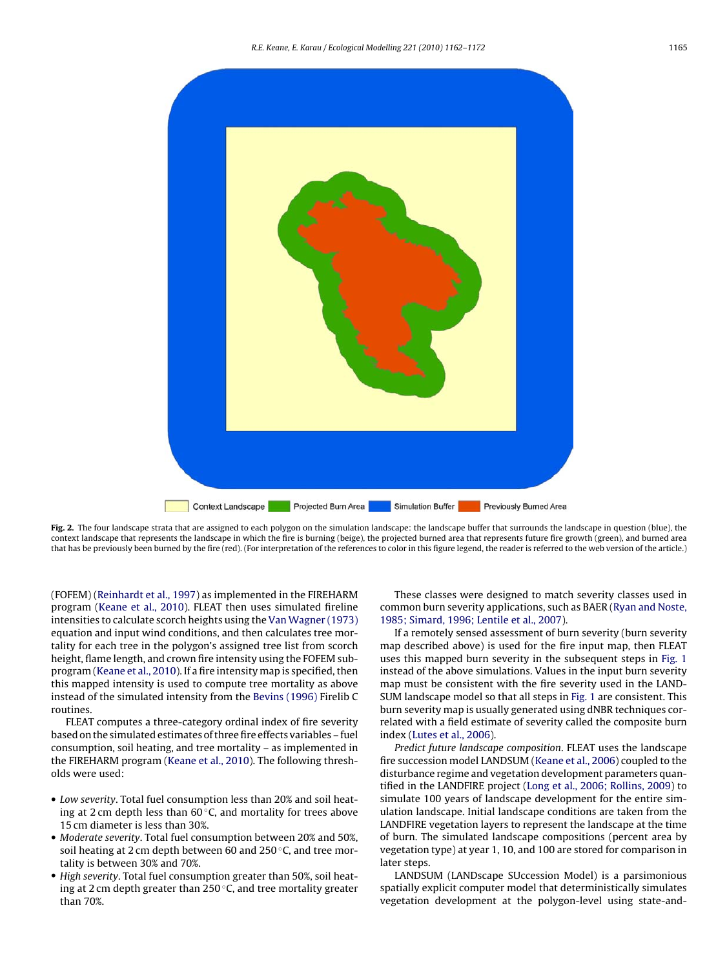<span id="page-3-0"></span>

Fig. 2. The four landscape strata that are assigned to each polygon on the simulation landscape: the landscape buffer that surrounds the landscape in question (blue), the context landscape that represents the landscape in which the fire is burning (beige), the projected burned area that represents future fire growth (green), and burned area that has be previously been burned by the fire (red). (For interpretation of the references to color in this figure legend, the reader is referred to the web version of the article.)

(FOFEM) ([Reinhardt et al., 1997\)](#page-10-0) as implemented in the FIREHARM program ([Keane et al., 2010\).](#page-10-0) FLEAT then uses simulated fireline intensities to calculate scorch heights using the [Van Wagner \(1973\)](#page-10-0) equation and input wind conditions, and then calculates tree mortality for each tree in the polygon's assigned tree list from scorch height, flame length, and crown fire intensity using the FOFEM subprogram [\(Keane et al., 2010\).](#page-10-0) If a fire intensity map is specified, then this mapped intensity is used to compute tree mortality as above instead of the simulated intensity from the [Bevins \(1996\)](#page-10-0) Firelib C routines.

FLEAT computes a three-category ordinal index of fire severity based on the simulated estimates of three fire effects variables – fuel consumption, soil heating, and tree mortality – as implemented in the FIREHARM program ([Keane et al., 2010\).](#page-10-0) The following thresholds were used:

- Low severity. Total fuel consumption less than 20% and soil heating at 2 cm depth less than  $60^{\circ}$ C, and mortality for trees above 15 cm diameter is less than 30%.
- Moderate severity. Total fuel consumption between 20% and 50%, soil heating at 2 cm depth between 60 and 250 $\degree$ C, and tree mortality is between 30% and 70%.
- High severity. Total fuel consumption greater than 50%, soil heating at 2 cm depth greater than  $250^{\circ}$ C, and tree mortality greater than 70%.

These classes were designed to match severity classes used in common burn severity applications, such as BAER ([Ryan and Noste,](#page-10-0) [1985; Simard, 1996; Lentile et al., 2007\).](#page-10-0)

If a remotely sensed assessment of burn severity (burn severity map described above) is used for the fire input map, then FLEAT uses this mapped burn severity in the subsequent steps in [Fig. 1](#page-1-0) instead of the above simulations. Values in the input burn severity map must be consistent with the fire severity used in the LAND-SUM landscape model so that all steps in [Fig. 1](#page-1-0) are consistent. This burn severity map is usually generated using dNBR techniques correlated with a field estimate of severity called the composite burn index ([Lutes et al., 2006\).](#page-10-0)

Predict future landscape composition. FLEAT uses the landscape fire succession model LANDSUM ([Keane et al., 2006\) c](#page-10-0)oupled to the disturbance regime and vegetation development parameters quantified in the LANDFIRE project ([Long et al., 2006; Rollins, 2009\)](#page-10-0) to simulate 100 years of landscape development for the entire simulation landscape. Initial landscape conditions are taken from the LANDFIRE vegetation layers to represent the landscape at the time of burn. The simulated landscape compositions (percent area by vegetation type) at year 1, 10, and 100 are stored for comparison in later steps.

LANDSUM (LANDscape SUccession Model) is a parsimonious spatially explicit computer model that deterministically simulates vegetation development at the polygon-level using state-and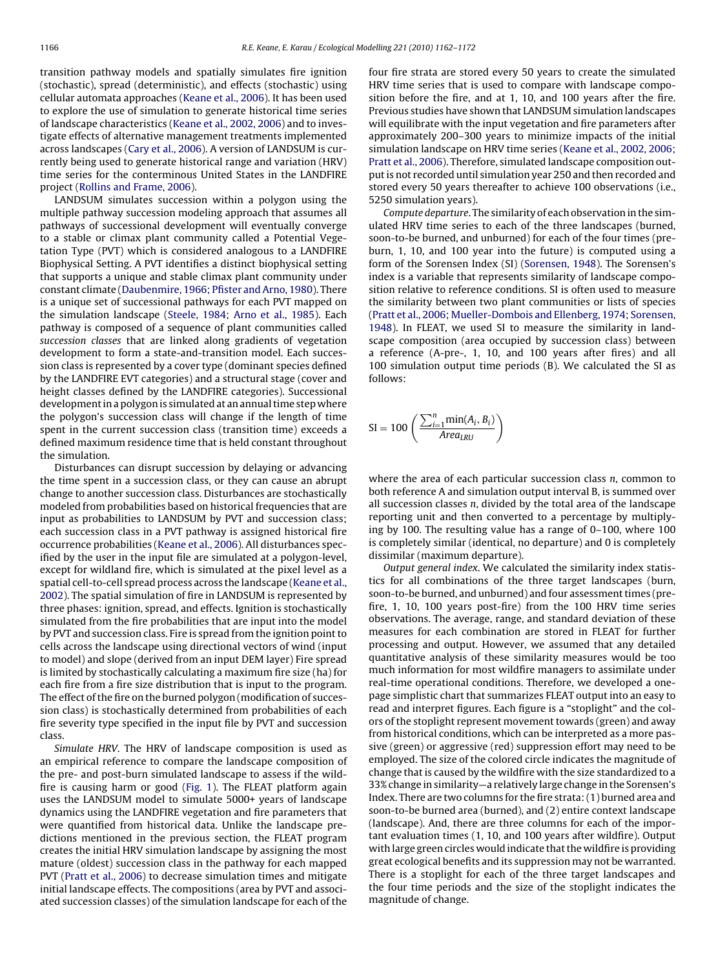transition pathway models and spatially simulates fire ignition (stochastic), spread (deterministic), and effects (stochastic) using cellular automata approaches [\(Keane et al., 2006\).](#page-10-0) It has been used to explore the use of simulation to generate historical time series of landscape characteristics ([Keane et al., 2002, 2006\)](#page-10-0) and to investigate effects of alternative management treatments implemented across landscapes [\(Cary et al., 2006\).](#page-10-0) A version of LANDSUM is currently being used to generate historical range and variation (HRV) time series for the conterminous United States in the LANDFIRE project ([Rollins and Frame, 2006\).](#page-10-0)

LANDSUM simulates succession within a polygon using the multiple pathway succession modeling approach that assumes all pathways of successional development will eventually converge to a stable or climax plant community called a Potential Vegetation Type (PVT) which is considered analogous to a LANDFIRE Biophysical Setting. A PVT identifies a distinct biophysical setting that supports a unique and stable climax plant community under constant climate ([Daubenmire, 1966; Pfister and Arno, 1980\).](#page-10-0) There is a unique set of successional pathways for each PVT mapped on the simulation landscape ([Steele, 1984; Arno et al., 1985\).](#page-10-0) Each pathway is composed of a sequence of plant communities called succession classes that are linked along gradients of vegetation development to form a state-and-transition model. Each succession class is represented by a cover type (dominant species defined by the LANDFIRE EVT categories) and a structural stage (cover and height classes defined by the LANDFIRE categories). Successional development in a polygon is simulated at an annual time step where the polygon's succession class will change if the length of time spent in the current succession class (transition time) exceeds a defined maximum residence time that is held constant throughout the simulation.

Disturbances can disrupt succession by delaying or advancing the time spent in a succession class, or they can cause an abrupt change to another succession class. Disturbances are stochastically modeled from probabilities based on historical frequencies that are input as probabilities to LANDSUM by PVT and succession class; each succession class in a PVT pathway is assigned historical fire occurrence probabilities [\(Keane et al., 2006\).](#page-10-0) All disturbances specified by the user in the input file are simulated at a polygon-level, except for wildland fire, which is simulated at the pixel level as a spatial cell-to-cell spread process across the landscape [\(Keane et al.,](#page-10-0) [2002\).](#page-10-0) The spatial simulation of fire in LANDSUM is represented by three phases: ignition, spread, and effects. Ignition is stochastically simulated from the fire probabilities that are input into the model by PVT and succession class. Fire is spread from the ignition point to cells across the landscape using directional vectors of wind (input to model) and slope (derived from an input DEM layer) Fire spread is limited by stochastically calculating a maximum fire size (ha) for each fire from a fire size distribution that is input to the program. The effect of the fire on the burned polygon (modification of succession class) is stochastically determined from probabilities of each fire severity type specified in the input file by PVT and succession class.

Simulate HRV. The HRV of landscape composition is used as an empirical reference to compare the landscape composition of the pre- and post-burn simulated landscape to assess if the wildfire is causing harm or good [\(Fig. 1\)](#page-1-0). The FLEAT platform again uses the LANDSUM model to simulate 5000+ years of landscape dynamics using the LANDFIRE vegetation and fire parameters that were quantified from historical data. Unlike the landscape predictions mentioned in the previous section, the FLEAT program creates the initial HRV simulation landscape by assigning the most mature (oldest) succession class in the pathway for each mapped PVT [\(Pratt et al., 2006\)](#page-10-0) to decrease simulation times and mitigate initial landscape effects. The compositions (area by PVT and associated succession classes) of the simulation landscape for each of the four fire strata are stored every 50 years to create the simulated HRV time series that is used to compare with landscape composition before the fire, and at 1, 10, and 100 years after the fire. Previous studies have shown that LANDSUM simulation landscapes will equilibrate with the input vegetation and fire parameters after approximately 200–300 years to minimize impacts of the initial simulation landscape on HRV time series ([Keane et al., 2002, 2006;](#page-10-0) [Pratt et al., 2006\).](#page-10-0) Therefore, simulated landscape composition output is not recorded until simulation year 250 and then recorded and stored every 50 years thereafter to achieve 100 observations (i.e., 5250 simulation years).

Compute departure. The similarity of each observation in the simulated HRV time series to each of the three landscapes (burned, soon-to-be burned, and unburned) for each of the four times (preburn, 1, 10, and 100 year into the future) is computed using a form of the Sorensen Index (SI) ([Sorensen, 1948\).](#page-10-0) The Sorensen's index is a variable that represents similarity of landscape composition relative to reference conditions. SI is often used to measure the similarity between two plant communities or lists of species [\(Pratt et al., 2006; Mueller-Dombois and Ellenberg, 1974; Sorensen,](#page-10-0) [1948\).](#page-10-0) In FLEAT, we used SI to measure the similarity in landscape composition (area occupied by succession class) between a reference (A-pre-, 1, 10, and 100 years after fires) and all 100 simulation output time periods (B). We calculated the SI as follows:

$$
SI = 100 \left( \frac{\sum_{i=1}^{n} \min(A_i, B_i)}{Area_{LRU}} \right)
$$

where the area of each particular succession class  $n$ , common to both reference A and simulation output interval B, is summed over all succession classes  $n$ , divided by the total area of the landscape reporting unit and then converted to a percentage by multiplying by 100. The resulting value has a range of 0–100, where 100 is completely similar (identical, no departure) and 0 is completely dissimilar (maximum departure).

Output general index. We calculated the similarity index statistics for all combinations of the three target landscapes (burn, soon-to-be burned, and unburned) and four assessment times (prefire, 1, 10, 100 years post-fire) from the 100 HRV time series observations. The average, range, and standard deviation of these measures for each combination are stored in FLEAT for further processing and output. However, we assumed that any detailed quantitative analysis of these similarity measures would be too much information for most wildfire managers to assimilate under real-time operational conditions. Therefore, we developed a onepage simplistic chart that summarizes FLEAT output into an easy to read and interpret figures. Each figure is a "stoplight" and the colors of the stoplight represent movement towards (green) and away from historical conditions, which can be interpreted as a more passive (green) or aggressive (red) suppression effort may need to be employed. The size of the colored circle indicates the magnitude of change that is caused by the wildfire with the size standardized to a 33% change in similarity—a relatively large change in the Sorensen's Index. There are two columns for the fire strata: (1) burned area and soon-to-be burned area (burned), and (2) entire context landscape (landscape). And, there are three columns for each of the important evaluation times (1, 10, and 100 years after wildfire). Output with large green circles would indicate that the wildfire is providing great ecological benefits and its suppression may not be warranted. There is a stoplight for each of the three target landscapes and the four time periods and the size of the stoplight indicates the magnitude of change.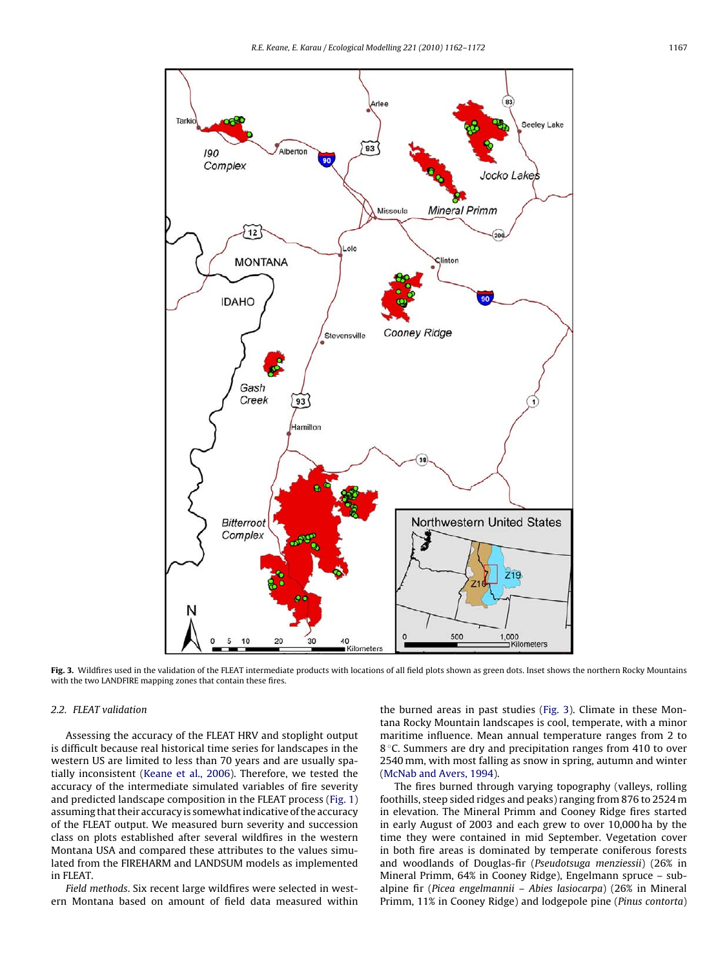<span id="page-5-0"></span>

**Fig. 3.** Wildfires used in the validation of the FLEAT intermediate products with locations of all field plots shown as green dots. Inset shows the northern Rocky Mountains with the two LANDFIRE mapping zones that contain these fires.

#### 2.2. FLEAT validation

Assessing the accuracy of the FLEAT HRV and stoplight output is difficult because real historical time series for landscapes in the western US are limited to less than 70 years and are usually spatially inconsistent ([Keane et al., 2006\).](#page-10-0) Therefore, we tested the accuracy of the intermediate simulated variables of fire severity and predicted landscape composition in the FLEAT process [\(Fig. 1\)](#page-1-0) assuming that their accuracy is somewhat indicative of the accuracy of the FLEAT output. We measured burn severity and succession class on plots established after several wildfires in the western Montana USA and compared these attributes to the values simulated from the FIREHARM and LANDSUM models as implemented in FLEAT.

Field methods. Six recent large wildfires were selected in western Montana based on amount of field data measured within the burned areas in past studies (Fig. 3). Climate in these Montana Rocky Mountain landscapes is cool, temperate, with a minor maritime influence. Mean annual temperature ranges from 2 to 8 ◦C. Summers are dry and precipitation ranges from 410 to over 2540 mm, with most falling as snow in spring, autumn and winter [\(McNab and Avers, 1994\).](#page-10-0)

The fires burned through varying topography (valleys, rolling foothills, steep sided ridges and peaks) ranging from 876 to 2524 m in elevation. The Mineral Primm and Cooney Ridge fires started in early August of 2003 and each grew to over 10,000 ha by the time they were contained in mid September. Vegetation cover in both fire areas is dominated by temperate coniferous forests and woodlands of Douglas-fir (Pseudotsuga menziessii) (26% in Mineral Primm, 64% in Cooney Ridge), Engelmann spruce – subalpine fir (Picea engelmannii – Abies lasiocarpa) (26% in Mineral Primm, 11% in Cooney Ridge) and lodgepole pine (Pinus contorta)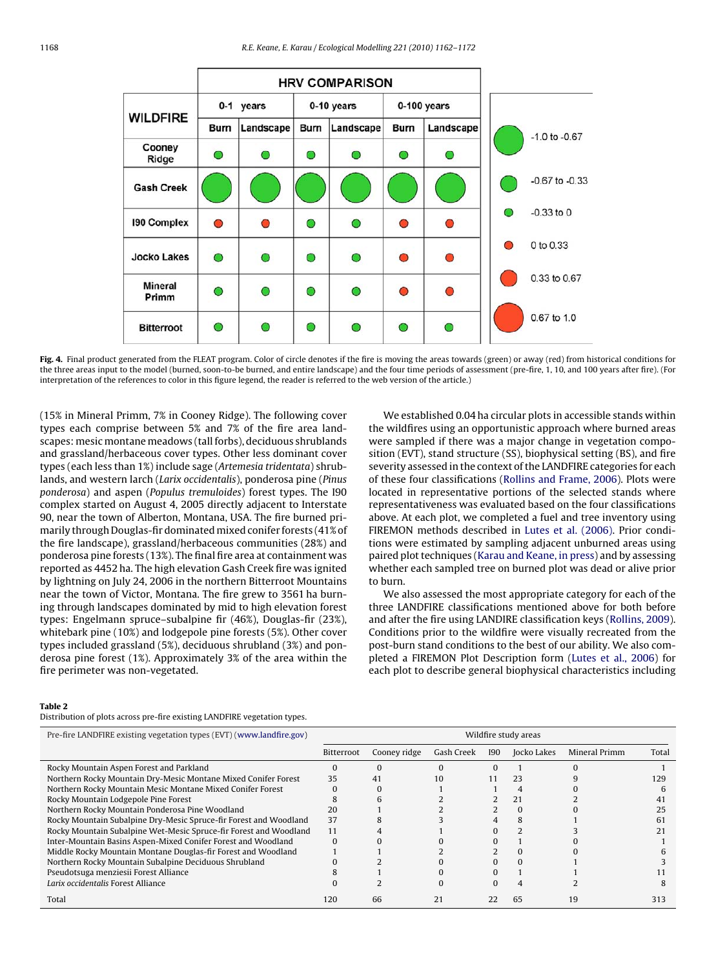<span id="page-6-0"></span>

Fig. 4. Final product generated from the FLEAT program. Color of circle denotes if the fire is moving the areas towards (green) or away (red) from historical conditions for the three areas input to the model (burned, soon-to-be burned, and entire landscape) and the four time periods of assessment (pre-fire, 1, 10, and 100 years after fire). (For interpretation of the references to color in this figure legend, the reader is referred to the web version of the article.)

(15% in Mineral Primm, 7% in Cooney Ridge). The following cover types each comprise between 5% and 7% of the fire area landscapes: mesic montane meadows (tall forbs), deciduous shrublands and grassland/herbaceous cover types. Other less dominant cover types (each less than 1%) include sage (Artemesia tridentata) shrublands, and western larch (Larix occidentalis), ponderosa pine (Pinus ponderosa) and aspen (Populus tremuloides) forest types. The I90 complex started on August 4, 2005 directly adjacent to Interstate 90, near the town of Alberton, Montana, USA. The fire burned primarily through Douglas-fir dominated mixed conifer forests (41% of the fire landscape), grassland/herbaceous communities (28%) and ponderosa pine forests (13%). The final fire area at containment was reported as 4452 ha. The high elevation Gash Creek fire was ignited by lightning on July 24, 2006 in the northern Bitterroot Mountains near the town of Victor, Montana. The fire grew to 3561 ha burning through landscapes dominated by mid to high elevation forest types: Engelmann spruce–subalpine fir (46%), Douglas-fir (23%), whitebark pine (10%) and lodgepole pine forests (5%). Other cover types included grassland (5%), deciduous shrubland (3%) and ponderosa pine forest (1%). Approximately 3% of the area within the fire perimeter was non-vegetated.

We established 0.04 ha circular plots in accessible stands within the wildfires using an opportunistic approach where burned areas were sampled if there was a major change in vegetation composition (EVT), stand structure (SS), biophysical setting (BS), and fire severity assessed in the context of the LANDFIRE categories for each of these four classifications ([Rollins and Frame, 2006\).](#page-10-0) Plots were located in representative portions of the selected stands where representativeness was evaluated based on the four classifications above. At each plot, we completed a fuel and tree inventory using FIREMON methods described in [Lutes et al. \(2006\).](#page-10-0) Prior conditions were estimated by sampling adjacent unburned areas using paired plot techniques [\(Karau and Keane, in press\) a](#page-10-0)nd by assessing whether each sampled tree on burned plot was dead or alive prior to burn.

We also assessed the most appropriate category for each of the three LANDFIRE classifications mentioned above for both before and after the fire using LANDIRE classification keys ([Rollins, 2009\).](#page-10-0) Conditions prior to the wildfire were visually recreated from the post-burn stand conditions to the best of our ability. We also completed a FIREMON Plot Description form [\(Lutes et al., 2006\)](#page-10-0) for each plot to describe general biophysical characteristics including

#### **Table 2**

Distribution of plots across pre-fire existing LANDFIRE vegetation types.

| Pre-fire LANDFIRE existing vegetation types (EVT) (www.landfire.gov) | Wildfire study areas |              |            |     |             |               |      |  |  |
|----------------------------------------------------------------------|----------------------|--------------|------------|-----|-------------|---------------|------|--|--|
|                                                                      | Bitterroot           | Cooney ridge | Gash Creek | 190 | Jocko Lakes | Mineral Primm | Tota |  |  |
| Rocky Mountain Aspen Forest and Parkland                             |                      |              |            |     |             |               |      |  |  |
| Northern Rocky Mountain Dry-Mesic Montane Mixed Conifer Forest       | 35                   |              | 10         |     | 23          |               | 129  |  |  |
| Northern Rocky Mountain Mesic Montane Mixed Conifer Forest           |                      |              |            |     |             |               |      |  |  |
| Rocky Mountain Lodgepole Pine Forest                                 |                      |              |            |     | 21          |               |      |  |  |
| Northern Rocky Mountain Ponderosa Pine Woodland                      | 20                   |              |            |     |             |               | 25   |  |  |
| Rocky Mountain Subalpine Dry-Mesic Spruce-fir Forest and Woodland    | 37                   |              |            |     |             |               | 61   |  |  |
| Rocky Mountain Subalpine Wet-Mesic Spruce-fir Forest and Woodland    | 11                   |              |            |     |             |               |      |  |  |
| Inter-Mountain Basins Aspen-Mixed Conifer Forest and Woodland        |                      |              |            |     |             |               |      |  |  |
| Middle Rocky Mountain Montane Douglas-fir Forest and Woodland        |                      |              |            |     |             |               |      |  |  |
| Northern Rocky Mountain Subalpine Deciduous Shrubland                |                      |              |            |     |             |               |      |  |  |
| Pseudotsuga menziesii Forest Alliance                                |                      |              |            |     |             |               |      |  |  |
| Larix occidentalis Forest Alliance                                   |                      |              |            |     |             |               |      |  |  |
| Total                                                                | 120                  | 66           | 21         |     | 65          | 19            | 313  |  |  |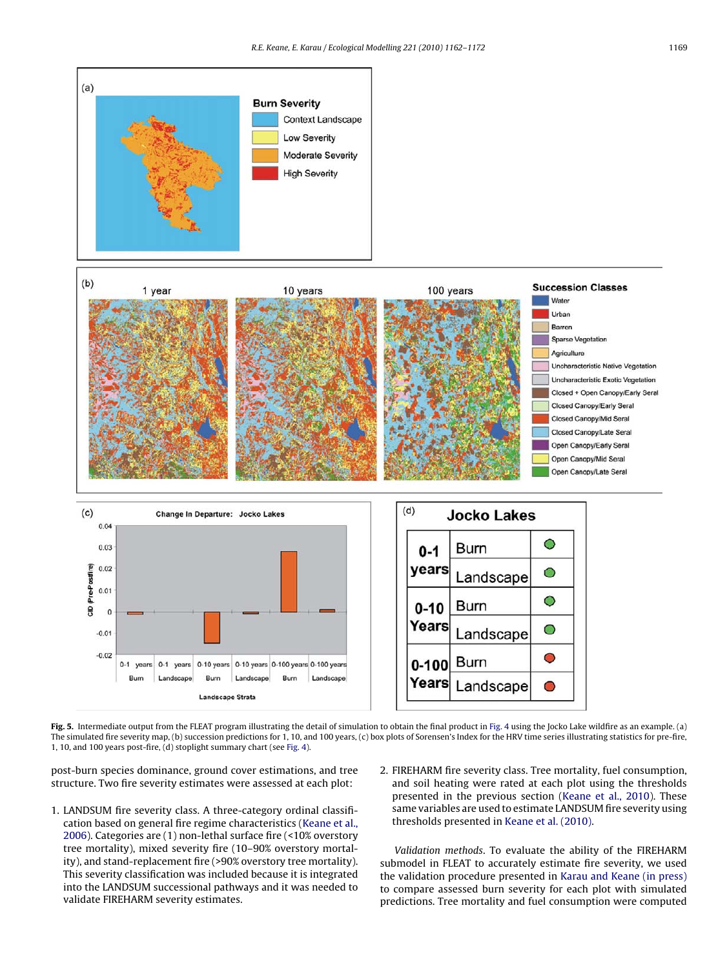<span id="page-7-0"></span>

**Fig. 5.** Intermediate output from the FLEAT program illustrating the detail of simulation to obtain the final product in [Fig. 4](#page-6-0) using the Jocko Lake wildfire as an example. (a) The simulated fire severity map, (b) succession predictions for 1, 10, and 100 years, (c) box plots of Sorensen's Index for the HRV time series illustrating statistics for pre-fire, 1, 10, and 100 years post-fire, (d) stoplight summary chart (see [Fig. 4\).](#page-6-0)

post-burn species dominance, ground cover estimations, and tree structure. Two fire severity estimates were assessed at each plot:

- 1. LANDSUM fire severity class. A three-category ordinal classification based on general fire regime characteristics ([Keane et al.,](#page-10-0) [2006\).](#page-10-0) Categories are (1) non-lethal surface fire (<10% overstory tree mortality), mixed severity fire (10–90% overstory mortality), and stand-replacement fire (>90% overstory tree mortality). This severity classification was included because it is integrated into the LANDSUM successional pathways and it was needed to validate FIREHARM severity estimates.
- 2. FIREHARM fire severity class. Tree mortality, fuel consumption, and soil heating were rated at each plot using the thresholds presented in the previous section ([Keane et al., 2010\).](#page-10-0) These same variables are used to estimate LANDSUM fire severity using thresholds presented in [Keane et al. \(2010\).](#page-10-0)

Validation methods. To evaluate the ability of the FIREHARM submodel in FLEAT to accurately estimate fire severity, we used the validation procedure presented in [Karau and Keane \(in press\)](#page-10-0) to compare assessed burn severity for each plot with simulated predictions. Tree mortality and fuel consumption were computed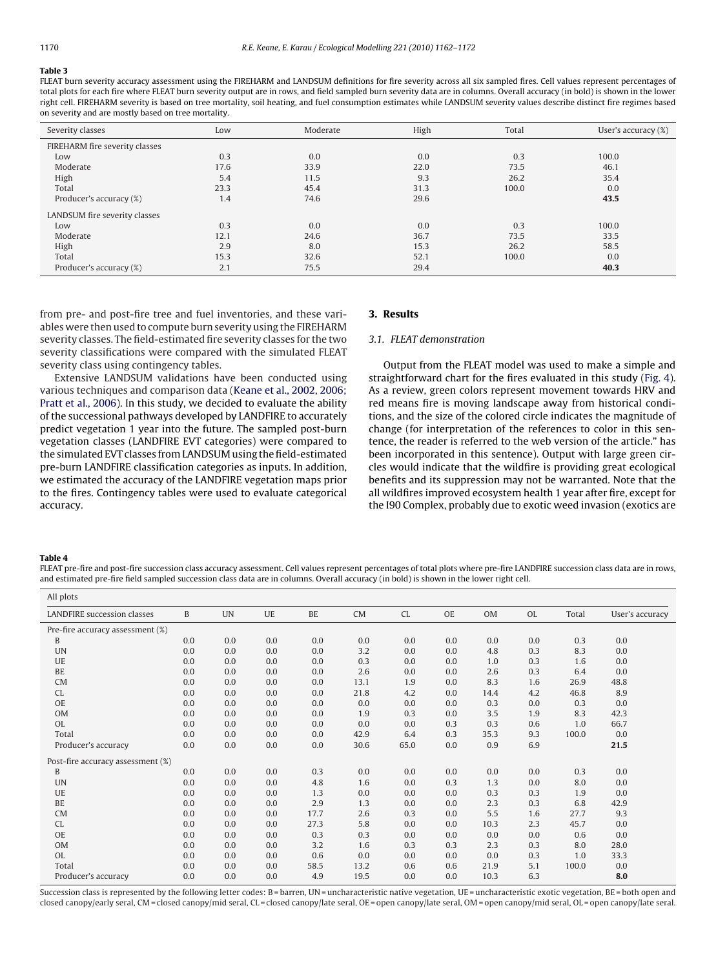#### <span id="page-8-0"></span>**Table 3**

FLEAT burn severity accuracy assessment using the FIREHARM and LANDSUM definitions for fire severity across all six sampled fires. Cell values represent percentages of total plots for each fire where FLEAT burn severity output are in rows, and field sampled burn severity data are in columns. Overall accuracy (in bold) is shown in the lower right cell. FIREHARM severity is based on tree mortality, soil heating, and fuel consumption estimates while LANDSUM severity values describe distinct fire regimes based on severity and are mostly based on tree mortality.

| Severity classes               | Low  | Moderate | High | Total | User's accuracy $(\%)$ |
|--------------------------------|------|----------|------|-------|------------------------|
| FIREHARM fire severity classes |      |          |      |       |                        |
| Low                            | 0.3  | 0.0      | 0.0  | 0.3   | 100.0                  |
| Moderate                       | 17.6 | 33.9     | 22.0 | 73.5  | 46.1                   |
| High                           | 5.4  | 11.5     | 9.3  | 26.2  | 35.4                   |
| Total                          | 23.3 | 45.4     | 31.3 | 100.0 | 0.0                    |
| Producer's accuracy (%)        | 1.4  | 74.6     | 29.6 |       | 43.5                   |
| LANDSUM fire severity classes  |      |          |      |       |                        |
| Low                            | 0.3  | 0.0      | 0.0  | 0.3   | 100.0                  |
| Moderate                       | 12.1 | 24.6     | 36.7 | 73.5  | 33.5                   |
| High                           | 2.9  | 8.0      | 15.3 | 26.2  | 58.5                   |
| Total                          | 15.3 | 32.6     | 52.1 | 100.0 | 0.0                    |
| Producer's accuracy (%)        | 2.1  | 75.5     | 29.4 |       | 40.3                   |

from pre- and post-fire tree and fuel inventories, and these variables were then used to compute burn severity using the FIREHARM severity classes. The field-estimated fire severity classes for the two severity classifications were compared with the simulated FLEAT severity class using contingency tables.

# **3. Results**

#### 3.1. FLEAT demonstration

Extensive LANDSUM validations have been conducted using various techniques and comparison data ([Keane et al., 2002, 2006;](#page-10-0) [Pratt et al., 2006\).](#page-10-0) In this study, we decided to evaluate the ability of the successional pathways developed by LANDFIRE to accurately predict vegetation 1 year into the future. The sampled post-burn vegetation classes (LANDFIRE EVT categories) were compared to the simulated EVT classes from LANDSUM using the field-estimated pre-burn LANDFIRE classification categories as inputs. In addition, we estimated the accuracy of the LANDFIRE vegetation maps prior to the fires. Contingency tables were used to evaluate categorical accuracy.

Output from the FLEAT model was used to make a simple and straightforward chart for the fires evaluated in this study [\(Fig. 4\).](#page-6-0) As a review, green colors represent movement towards HRV and red means fire is moving landscape away from historical conditions, and the size of the colored circle indicates the magnitude of change (for interpretation of the references to color in this sentence, the reader is referred to the web version of the article." has been incorporated in this sentence). Output with large green circles would indicate that the wildfire is providing great ecological benefits and its suppression may not be warranted. Note that the all wildfires improved ecosystem health 1 year after fire, except for the I90 Complex, probably due to exotic weed invasion (exotics are

#### **Table 4**

FLEAT pre-fire and post-fire succession class accuracy assessment. Cell values represent percentages of total plots where pre-fire LANDFIRE succession class data are in rows, and estimated pre-fire field sampled succession class data are in columns. Overall accuracy (in bold) is shown in the lower right cell.

| All plots                          |     |           |           |           |      |           |           |           |           |       |                 |
|------------------------------------|-----|-----------|-----------|-----------|------|-----------|-----------|-----------|-----------|-------|-----------------|
| <b>LANDFIRE succession classes</b> | B   | <b>UN</b> | <b>UE</b> | <b>BE</b> | CM   | <b>CL</b> | <b>OE</b> | <b>OM</b> | <b>OL</b> | Total | User's accuracy |
| Pre-fire accuracy assessment (%)   |     |           |           |           |      |           |           |           |           |       |                 |
| B                                  | 0.0 | 0.0       | 0.0       | 0.0       | 0.0  | 0.0       | 0.0       | 0.0       | 0.0       | 0.3   | 0.0             |
| <b>UN</b>                          | 0.0 | 0.0       | 0.0       | 0.0       | 3.2  | 0.0       | 0.0       | 4.8       | 0.3       | 8.3   | 0.0             |
| UE                                 | 0.0 | 0.0       | 0.0       | 0.0       | 0.3  | 0.0       | 0.0       | 1.0       | 0.3       | 1.6   | 0.0             |
| BE                                 | 0.0 | 0.0       | 0.0       | 0.0       | 2.6  | 0.0       | 0.0       | 2.6       | 0.3       | 6.4   | 0.0             |
| <b>CM</b>                          | 0.0 | 0.0       | 0.0       | 0.0       | 13.1 | 1.9       | 0.0       | 8.3       | 1.6       | 26.9  | 48.8            |
| <b>CL</b>                          | 0.0 | 0.0       | 0.0       | 0.0       | 21.8 | 4.2       | 0.0       | 14.4      | 4.2       | 46.8  | 8.9             |
| <b>OE</b>                          | 0.0 | 0.0       | 0.0       | 0.0       | 0.0  | 0.0       | 0.0       | 0.3       | 0.0       | 0.3   | 0.0             |
| OM                                 | 0.0 | 0.0       | 0.0       | 0.0       | 1.9  | 0.3       | 0.0       | 3.5       | 1.9       | 8.3   | 42.3            |
| <b>OL</b>                          | 0.0 | 0.0       | 0.0       | 0.0       | 0.0  | 0.0       | 0.3       | 0.3       | 0.6       | 1.0   | 66.7            |
| Total                              | 0.0 | 0.0       | 0.0       | 0.0       | 42.9 | 6.4       | 0.3       | 35.3      | 9.3       | 100.0 | 0.0             |
| Producer's accuracy                | 0.0 | 0.0       | 0.0       | 0.0       | 30.6 | 65.0      | 0.0       | 0.9       | 6.9       |       | 21.5            |
| Post-fire accuracy assessment (%)  |     |           |           |           |      |           |           |           |           |       |                 |
| B                                  | 0.0 | 0.0       | 0.0       | 0.3       | 0.0  | 0.0       | 0.0       | 0.0       | 0.0       | 0.3   | 0.0             |
| <b>UN</b>                          | 0.0 | 0.0       | 0.0       | 4.8       | 1.6  | 0.0       | 0.3       | 1.3       | 0.0       | 8.0   | 0.0             |
| UE                                 | 0.0 | 0.0       | 0.0       | 1.3       | 0.0  | 0.0       | 0.0       | 0.3       | 0.3       | 1.9   | 0.0             |
| BE                                 | 0.0 | 0.0       | 0.0       | 2.9       | 1.3  | 0.0       | 0.0       | 2.3       | 0.3       | 6.8   | 42.9            |
| <b>CM</b>                          | 0.0 | 0.0       | 0.0       | 17.7      | 2.6  | 0.3       | 0.0       | 5.5       | 1.6       | 27.7  | 9.3             |
| <b>CL</b>                          | 0.0 | 0.0       | 0.0       | 27.3      | 5.8  | 0.0       | 0.0       | 10.3      | 2.3       | 45.7  | 0.0             |
| <b>OE</b>                          | 0.0 | 0.0       | 0.0       | 0.3       | 0.3  | 0.0       | 0.0       | 0.0       | 0.0       | 0.6   | 0.0             |
| OM                                 | 0.0 | 0.0       | 0.0       | 3.2       | 1.6  | 0.3       | 0.3       | 2.3       | 0.3       | 8.0   | 28.0            |
| <b>OL</b>                          | 0.0 | 0.0       | 0.0       | 0.6       | 0.0  | 0.0       | 0.0       | 0.0       | 0.3       | 1.0   | 33.3            |
| Total                              | 0.0 | 0.0       | 0.0       | 58.5      | 13.2 | 0.6       | 0.6       | 21.9      | 5.1       | 100.0 | 0.0             |
| Producer's accuracy                | 0.0 | 0.0       | 0.0       | 4.9       | 19.5 | 0.0       | 0.0       | 10.3      | 6.3       |       | 8.0             |

Succession class is represented by the following letter codes: B = barren, UN = uncharacteristic native vegetation, UE = uncharacteristic exotic vegetation, BE = both open and closed canopy/early seral, CM = closed canopy/mid seral, CL = closed canopy/late seral, OE = open canopy/late seral, OM = open canopy/mid seral, OL = open canopy/late seral.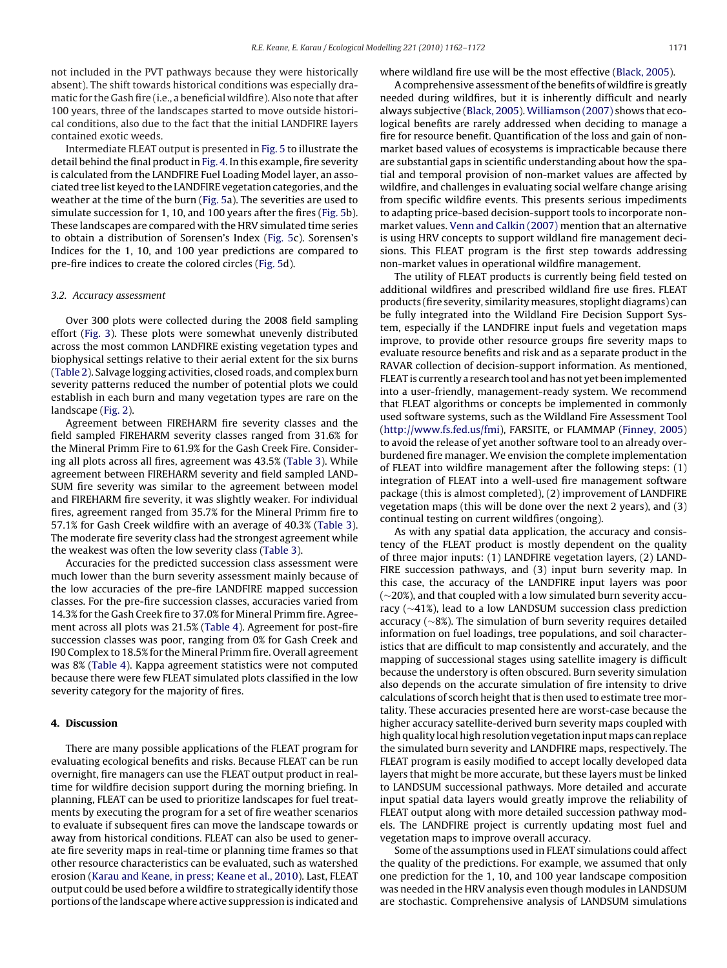not included in the PVT pathways because they were historically absent). The shift towards historical conditions was especially dramatic for the Gash fire (i.e., a beneficial wildfire). Also note that after 100 years, three of the landscapes started to move outside historical conditions, also due to the fact that the initial LANDFIRE layers contained exotic weeds.

Intermediate FLEAT output is presented in [Fig. 5](#page-7-0) to illustrate the detail behind the final product in [Fig. 4. I](#page-6-0)n this example, fire severity is calculated from the LANDFIRE Fuel Loading Model layer, an associated tree list keyed to the LANDFIRE vegetation categories, and the weather at the time of the burn [\(Fig. 5a\)](#page-7-0). The severities are used to simulate succession for 1, 10, and 100 years after the fires ([Fig. 5b\)](#page-7-0). These landscapes are compared with the HRV simulated time series to obtain a distribution of Sorensen's Index [\(Fig. 5c](#page-7-0)). Sorensen's Indices for the 1, 10, and 100 year predictions are compared to pre-fire indices to create the colored circles [\(Fig. 5d](#page-7-0)).

#### 3.2. Accuracy assessment

Over 300 plots were collected during the 2008 field sampling effort [\(Fig. 3\).](#page-5-0) These plots were somewhat unevenly distributed across the most common LANDFIRE existing vegetation types and biophysical settings relative to their aerial extent for the six burns ([Table 2\).](#page-6-0) Salvage logging activities, closed roads, and complex burn severity patterns reduced the number of potential plots we could establish in each burn and many vegetation types are rare on the landscape [\(Fig. 2\).](#page-3-0)

Agreement between FIREHARM fire severity classes and the field sampled FIREHARM severity classes ranged from 31.6% for the Mineral Primm Fire to 61.9% for the Gash Creek Fire. Considering all plots across all fires, agreement was 43.5% [\(Table 3\).](#page-8-0) While agreement between FIREHARM severity and field sampled LAND-SUM fire severity was similar to the agreement between model and FIREHARM fire severity, it was slightly weaker. For individual fires, agreement ranged from 35.7% for the Mineral Primm fire to 57.1% for Gash Creek wildfire with an average of 40.3% [\(Table 3\).](#page-8-0) The moderate fire severity class had the strongest agreement while the weakest was often the low severity class ([Table 3\).](#page-8-0)

Accuracies for the predicted succession class assessment were much lower than the burn severity assessment mainly because of the low accuracies of the pre-fire LANDFIRE mapped succession classes. For the pre-fire succession classes, accuracies varied from 14.3% for the Gash Creek fire to 37.0% for Mineral Primm fire. Agreement across all plots was 21.5% ([Table 4\).](#page-8-0) Agreement for post-fire succession classes was poor, ranging from 0% for Gash Creek and I90 Complex to 18.5% for the Mineral Primm fire. Overall agreement was 8% [\(Table 4\).](#page-8-0) Kappa agreement statistics were not computed because there were few FLEAT simulated plots classified in the low severity category for the majority of fires.

### **4. Discussion**

There are many possible applications of the FLEAT program for evaluating ecological benefits and risks. Because FLEAT can be run overnight, fire managers can use the FLEAT output product in realtime for wildfire decision support during the morning briefing. In planning, FLEAT can be used to prioritize landscapes for fuel treatments by executing the program for a set of fire weather scenarios to evaluate if subsequent fires can move the landscape towards or away from historical conditions. FLEAT can also be used to generate fire severity maps in real-time or planning time frames so that other resource characteristics can be evaluated, such as watershed erosion [\(Karau and Keane, in press; Keane et al., 2010\).](#page-10-0) Last, FLEAT output could be used before a wildfire to strategically identify those portions of the landscape where active suppression is indicated and where wildland fire use will be the most effective [\(Black, 2005\).](#page-10-0)

A comprehensive assessment of the benefits of wildfire is greatly needed during wildfires, but it is inherently difficult and nearly always subjective ([Black, 2005\).Williamson \(2007\)](#page-10-0) shows that ecological benefits are rarely addressed when deciding to manage a fire for resource benefit. Quantification of the loss and gain of nonmarket based values of ecosystems is impracticable because there are substantial gaps in scientific understanding about how the spatial and temporal provision of non-market values are affected by wildfire, and challenges in evaluating social welfare change arising from specific wildfire events. This presents serious impediments to adapting price-based decision-support tools to incorporate nonmarket values. [Venn and Calkin \(2007\)](#page-10-0) mention that an alternative is using HRV concepts to support wildland fire management decisions. This FLEAT program is the first step towards addressing non-market values in operational wildfire management.

The utility of FLEAT products is currently being field tested on additional wildfires and prescribed wildland fire use fires. FLEAT products (fire severity, similarity measures, stoplight diagrams) can be fully integrated into the Wildland Fire Decision Support System, especially if the LANDFIRE input fuels and vegetation maps improve, to provide other resource groups fire severity maps to evaluate resource benefits and risk and as a separate product in the RAVAR collection of decision-support information. As mentioned, FLEAT is currently a research tool and has not yet been implemented into a user-friendly, management-ready system. We recommend that FLEAT algorithms or concepts be implemented in commonly used software systems, such as the Wildland Fire Assessment Tool [\(http://www.fs.fed.us/fmi\)](http://www.fs.fed.us/fmi), FARSITE, or FLAMMAP [\(Finney, 2005\)](#page-10-0) to avoid the release of yet another software tool to an already overburdened fire manager. We envision the complete implementation of FLEAT into wildfire management after the following steps: (1) integration of FLEAT into a well-used fire management software package (this is almost completed), (2) improvement of LANDFIRE vegetation maps (this will be done over the next 2 years), and (3) continual testing on current wildfires (ongoing).

As with any spatial data application, the accuracy and consistency of the FLEAT product is mostly dependent on the quality of three major inputs: (1) LANDFIRE vegetation layers, (2) LAND-FIRE succession pathways, and (3) input burn severity map. In this case, the accuracy of the LANDFIRE input layers was poor (∼20%), and that coupled with a low simulated burn severity accuracy (∼41%), lead to a low LANDSUM succession class prediction accuracy (∼8%). The simulation of burn severity requires detailed information on fuel loadings, tree populations, and soil characteristics that are difficult to map consistently and accurately, and the mapping of successional stages using satellite imagery is difficult because the understory is often obscured. Burn severity simulation also depends on the accurate simulation of fire intensity to drive calculations of scorch height that is then used to estimate tree mortality. These accuracies presented here are worst-case because the higher accuracy satellite-derived burn severity maps coupled with high quality local high resolution vegetation input maps can replace the simulated burn severity and LANDFIRE maps, respectively. The FLEAT program is easily modified to accept locally developed data layers that might be more accurate, but these layers must be linked to LANDSUM successional pathways. More detailed and accurate input spatial data layers would greatly improve the reliability of FLEAT output along with more detailed succession pathway models. The LANDFIRE project is currently updating most fuel and vegetation maps to improve overall accuracy.

Some of the assumptions used in FLEAT simulations could affect the quality of the predictions. For example, we assumed that only one prediction for the 1, 10, and 100 year landscape composition was needed in the HRV analysis even though modules in LANDSUM are stochastic. Comprehensive analysis of LANDSUM simulations